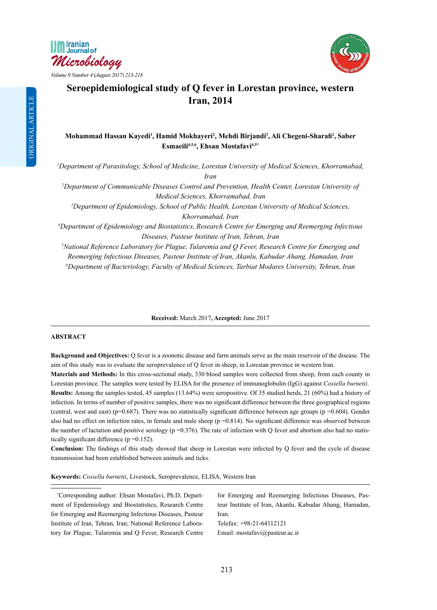





# **Seroepidemiological study of Q fever in Lorestan province, western Iran, 2014**

## **Mohammad Hassan Kayedi1 , Hamid Mokhayeri2 , Mehdi Birjandi3 , Ali Chegeni-Sharafi<sup>2</sup> , Saber Esmaeili4,5,6, Ehsan Mostafavi4,5\***

*1 Department of Parasitology, School of Medicine, Lorestan University of Medical Sciences, Khorramabad, Iran*

*2 Department of Communicable Diseases Control and Prevention, Health Center, Lorestan University of Medical Sciences, Khorramabad, Iran* 

*3 Department of Epidemiology, School of Public Health, Lorestan University of Medical Sciences, Khorramabad, Iran* 

*4 Department of Epidemiology and Biostatistics, Research Centre for Emerging and Reemerging Infectious Diseases, Pasteur Institute of Iran, Tehran, Iran* 

*5 National Reference Laboratory for Plague, Tularemia and Q Fever, Research Centre for Emerging and Reemerging Infectious Diseases, Pasteur Institute of Iran, Akanlu, Kabudar Ahang, Hamadan, Iran*

*6 Department of Bacteriology, Faculty of Medical Sciences, Tarbiat Modares University, Tehran, Iran*

**Received:** March 2017**, Accepted:** June 2017

## **ABSTRACT**

**Background and Objectives:** Q fever is a zoonotic disease and farm animals serve as the main reservoir of the disease. The aim of this study was to evaluate the seroprevalence of Q fever in sheep, in Lorestan province in western Iran.

**Materials and Methods:** In this cross-sectional study, 330 blood samples were collected from sheep, from each county in Lorestan province. The samples were tested by ELISA for the presence of immunoglobulin (IgG) against *Coxiella burnetii*. **Results:** Among the samples tested, 45 samples (13.64%) were seropositive. Of 35 studied herds, 21 (60%) had a history of infection. In terms of number of positive samples, there was no significant difference between the three geographical regions (central, west and east) (p=0.687). There was no statistically significant difference between age groups (p =0.604). Gender also had no effect on infection rates, in female and male sheep ( $p = 0.814$ ). No significant difference was observed between the number of lactation and positive serology ( $p = 0.376$ ). The rate of infection with Q fever and abortion also had no statistically significant difference (p =0.152).

**Conclusion:** The findings of this study showed that sheep in Lorestan were infected by Q fever and the cycle of disease transmission had been established between animals and ticks.

**Keywords:** *Coxiella burnetii*, Livestock, Seroprevalence, ELISA, Western Iran

\* Corresponding author: Ehsan Mostafavi, Ph.D, Department of Epidemiology and Biostatistics, Research Centre for Emerging and Reemerging Infectious Diseases, Pasteur Institute of Iran, Tehran, Iran; National Reference Laboratory for Plague, Tularemia and Q Fever, Research Centre for Emerging and Reemerging Infectious Diseases, Pasteur Institute of Iran, Akanlu, Kabudar Ahang, Hamadan, Iran. Telefax: +98-21-64112121

Email: mostafavi@pasteur.ac.ir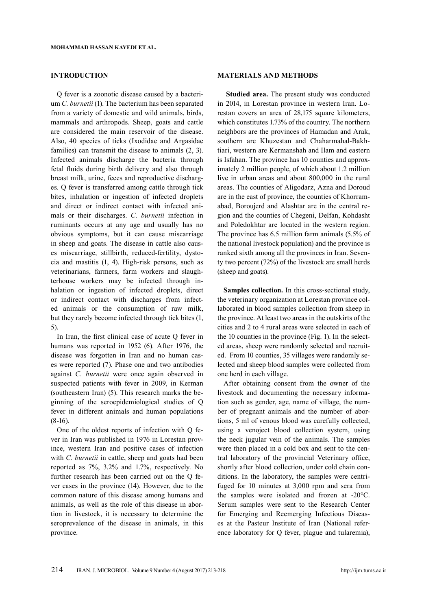## **INTRODUCTION**

Q fever is a zoonotic disease caused by a bacterium *C. burnetii* (1). The bacterium has been separated from a variety of domestic and wild animals, birds, mammals and arthropods. Sheep, goats and cattle are considered the main reservoir of the disease. Also, 40 species of ticks (Ixodidae and Argasidae families) can transmit the disease to animals (2, 3). Infected animals discharge the bacteria through fetal fluids during birth delivery and also through breast milk, urine, feces and reproductive discharges. Q fever is transferred among cattle through tick bites, inhalation or ingestion of infected droplets and direct or indirect contact with infected animals or their discharges. *C. burnetii* infection in ruminants occurs at any age and usually has no obvious symptoms, but it can cause miscarriage in sheep and goats. The disease in cattle also causes miscarriage, stillbirth, reduced-fertility, dystocia and mastitis (1, 4). High-risk persons, such as veterinarians, farmers, farm workers and slaughterhouse workers may be infected through inhalation or ingestion of infected droplets, direct or indirect contact with discharges from infected animals or the consumption of raw milk, but they rarely become infected through tick bites (1, 5).

In Iran, the first clinical case of acute Q fever in humans was reported in 1952 (6). After 1976, the disease was forgotten in Iran and no human cases were reported (7). Phase one and two antibodies against *C. burnetii* were once again observed in suspected patients with fever in 2009, in Kerman (southeastern Iran) (5). This research marks the beginning of the seroepidemiological studies of Q fever in different animals and human populations  $(8-16)$ .

One of the oldest reports of infection with Q fever in Iran was published in 1976 in Lorestan province, western Iran and positive cases of infection with *C. burnetii* in cattle, sheep and goats had been reported as 7%, 3.2% and 1.7%, respectively. No further research has been carried out on the Q fever cases in the province (14). However, due to the common nature of this disease among humans and animals, as well as the role of this disease in abortion in livestock, it is necessary to determine the seroprevalence of the disease in animals, in this province.

#### **MATERIALS AND METHODS**

**Studied area.** The present study was conducted in 2014, in Lorestan province in western Iran. Lorestan covers an area of 28,175 square kilometers, which constitutes 1.73% of the country. The northern neighbors are the provinces of Hamadan and Arak, southern are Khuzestan and Chaharmahal-Bakhtiari, western are Kermanshah and Ilam and eastern is Isfahan. The province has 10 counties and approximately 2 million people, of which about 1.2 million live in urban areas and about 800,000 in the rural areas. The counties of Aligodarz, Azna and Doroud are in the east of province, the counties of Khorramabad, Boroujerd and Alashtar are in the central region and the counties of Chegeni, Delfan, Kohdasht and Poledokhtar are located in the western region. The province has 6.5 million farm animals (5.5% of the national livestock population) and the province is ranked sixth among all the provinces in Iran. Seventy two percent (72%) of the livestock are small herds (sheep and goats).

**Samples collection.** In this cross-sectional study, the veterinary organization at Lorestan province collaborated in blood samples collection from sheep in the province. At least two areas in the outskirts of the cities and 2 to 4 rural areas were selected in each of the 10 counties in the province (Fig. 1). In the selected areas, sheep were randomly selected and recruited. From 10 counties, 35 villages were randomly selected and sheep blood samples were collected from one herd in each village.

After obtaining consent from the owner of the livestock and documenting the necessary information such as gender, age, name of village, the number of pregnant animals and the number of abortions, 5 ml of venous blood was carefully collected, using a venoject blood collection system, using the neck jugular vein of the animals. The samples were then placed in a cold box and sent to the central laboratory of the provincial Veterinary office, shortly after blood collection, under cold chain conditions. In the laboratory, the samples were centrifuged for 10 minutes at 3,000 rpm and sera from the samples were isolated and frozen at -20°C. Serum samples were sent to the Research Center for Emerging and Reemerging Infectious Diseases at the Pasteur Institute of Iran (National reference laboratory for Q fever, plague and tularemia),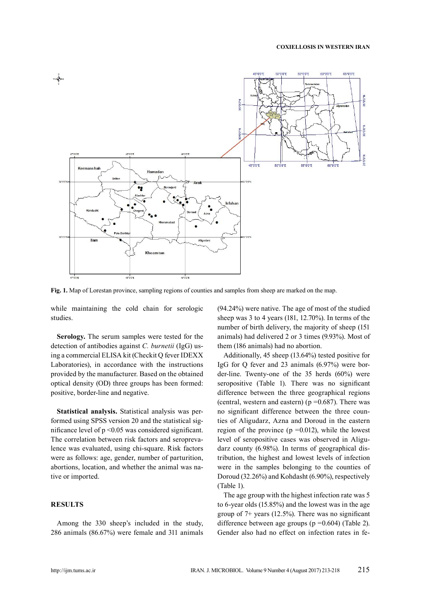

**Fig. 1.** Map of Lorestan province, sampling regions of counties and samples from sheep are marked on the map.

while maintaining the cold chain for serologic studies.

**Serology.** The serum samples were tested for the detection of antibodies against *C. burnetii* (IgG) using a commercial ELISA kit (Checkit Q fever IDEXX Laboratories), in accordance with the instructions provided by the manufacturer. Based on the obtained optical density (OD) three groups has been formed: positive, border-line and negative.

**Statistical analysis.** Statistical analysis was performed using SPSS version 20 and the statistical significance level of  $p \le 0.05$  was considered significant. The correlation between risk factors and seroprevalence was evaluated, using chi-square. Risk factors were as follows: age, gender, number of parturition, abortions, location, and whether the animal was native or imported.

## **RESULTS**

Among the 330 sheep's included in the study, 286 animals (86.67%) were female and 311 animals (94.24%) were native. The age of most of the studied sheep was 3 to 4 years (181, 12.70%). In terms of the number of birth delivery, the majority of sheep (151 animals) had delivered 2 or 3 times (9.93%). Most of them (186 animals) had no abortion.

Additionally, 45 sheep (13.64%) tested positive for IgG for Q fever and 23 animals (6.97%) were border-line. Twenty-one of the 35 herds (60%) were seropositive (Table 1). There was no significant difference between the three geographical regions (central, western and eastern) ( $p = 0.687$ ). There was no significant difference between the three counties of Aligudarz, Azna and Doroud in the eastern region of the province  $(p = 0.012)$ , while the lowest level of seropositive cases was observed in Aligudarz county (6.98%). In terms of geographical distribution, the highest and lowest levels of infection were in the samples belonging to the counties of Doroud (32.26%) and Kohdasht (6.90%), respectively (Table 1).

The age group with the highest infection rate was 5 to 6-year olds (15.85%) and the lowest was in the age group of 7+ years (12.5%). There was no significant difference between age groups ( $p = 0.604$ ) (Table 2). Gender also had no effect on infection rates in fe-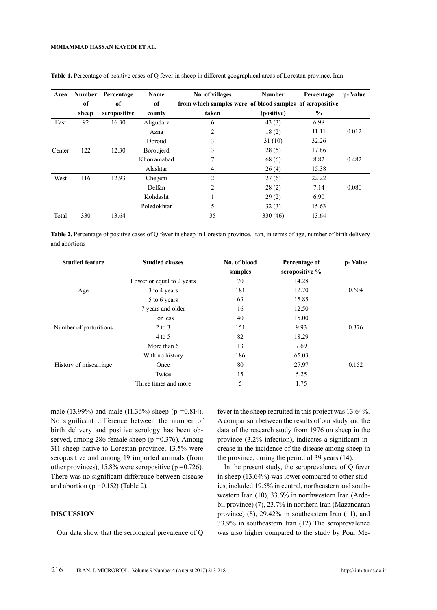#### **Mohammad Hassan Kayedi ET AL.**

| Area   | <b>Number</b> | Percentage   | Name        | No. of villages                                          | <b>Number</b> | Percentage    | p-Value |
|--------|---------------|--------------|-------------|----------------------------------------------------------|---------------|---------------|---------|
|        | of            | of           | of          | from which samples were of blood samples of seropositive |               |               |         |
|        | sheep         | seropositive | county      | taken                                                    | (positive)    | $\frac{0}{0}$ |         |
| East   | 92            | 16.30        | Aligudarz   | 6                                                        | 43(3)         | 6.98          |         |
|        |               |              | Azna        | 2                                                        | 18(2)         | 11.11         | 0.012   |
|        |               |              | Doroud      | 3                                                        | 31(10)        | 32.26         |         |
| Center | 122           | 12.30        | Boroujerd   | 3                                                        | 28(5)         | 17.86         |         |
|        |               |              | Khorramabad | 7                                                        | 68(6)         | 8.82          | 0.482   |
|        |               |              | Alashtar    | 4                                                        | 26(4)         | 15.38         |         |
| West   | 116           | 12.93        | Chegeni     | $\overline{c}$                                           | 27(6)         | 22.22         |         |
|        |               |              | Delfan      | 2                                                        | 28(2)         | 7.14          | 0.080   |
|        |               |              | Kohdasht    |                                                          | 29(2)         | 6.90          |         |
|        |               |              | Poledokhtar | 5                                                        | 32(3)         | 15.63         |         |
| Total  | 330           | 13.64        |             | 35                                                       | 330 (46)      | 13.64         |         |

**Table 1.** Percentage of positive cases of Q fever in sheep in different geographical areas of Lorestan province, Iran.

Table 2. Percentage of positive cases of Q fever in sheep in Lorestan province, Iran, in terms of age, number of birth delivery and abortions

| <b>Studied feature</b> | <b>Studied classes</b>    | No. of blood | Percentage of  | p-Value |
|------------------------|---------------------------|--------------|----------------|---------|
|                        |                           | samples      | seropositive % |         |
|                        | Lower or equal to 2 years | 70           | 14.28          |         |
| Age                    | 3 to 4 years              | 181          | 12.70          | 0.604   |
|                        | 5 to 6 years              | 63           | 15.85          |         |
|                        | 7 years and older         | 16           | 12.50          |         |
|                        | 1 or less                 | 40           | 15.00          |         |
| Number of parturitions | $2$ to $3$                | 151          | 9.93           | 0.376   |
|                        | $4$ to 5                  | 82           | 18.29          |         |
|                        | More than 6               | 13           | 7.69           |         |
|                        | With no history           | 186          | 65.03          |         |
| History of miscarriage | Once                      | 80           | 27.97          | 0.152   |
|                        | Twice                     | 15           | 5.25           |         |
|                        | Three times and more      | 5            | 1.75           |         |

male (13.99%) and male (11.36%) sheep ( $p = 0.814$ ). No significant difference between the number of birth delivery and positive serology has been observed, among 286 female sheep (p = 0.376). Among 311 sheep native to Lorestan province, 13.5% were seropositive and among 19 imported animals (from other provinces),  $15.8\%$  were seropositive (p = 0.726). There was no significant difference between disease and abortion ( $p = 0.152$ ) (Table 2).

## **DISCUSSION**

Our data show that the serological prevalence of Q

fever in the sheep recruited in this project was 13.64%. A comparison between the results of our study and the data of the research study from 1976 on sheep in the province (3.2% infection), indicates a significant increase in the incidence of the disease among sheep in the province, during the period of 39 years (14).

 In the present study, the seroprevalence of Q fever in sheep (13.64%) was lower compared to other studies, included 19.5% in central, northeastern and southwestern Iran (10), 33.6% in northwestern Iran (Ardebil province) (7), 23.7% in northern Iran (Mazandaran province) (8), 29.42% in southeastern Iran (11), and 33.9% in southeastern Iran (12) The seroprevalence was also higher compared to the study by Pour Me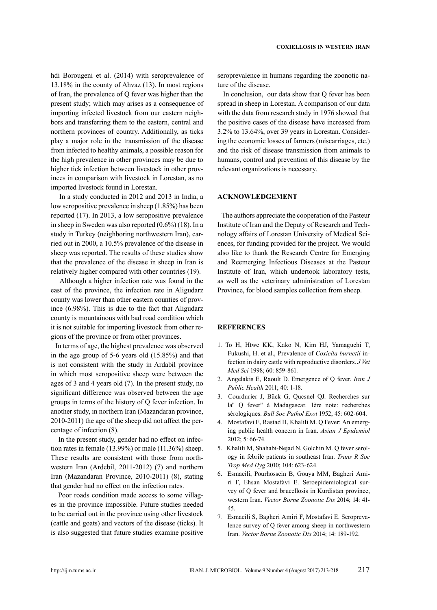hdi Borougeni et al. (2014) with seroprevalence of 13.18% in the county of Ahvaz (13). In most regions of Iran, the prevalence of Q fever was higher than the present study; which may arises as a consequence of importing infected livestock from our eastern neighbors and transferring them to the eastern, central and northern provinces of country. Additionally, as ticks play a major role in the transmission of the disease from infected to healthy animals, a possible reason for the high prevalence in other provinces may be due to higher tick infection between livestock in other provinces in comparison with livestock in Lorestan, as no imported livestock found in Lorestan.

 In a study conducted in 2012 and 2013 in India, a low seropositive prevalence in sheep (1.85%) has been reported (17). In 2013, a low seropositive prevalence in sheep in Sweden was also reported (0.6%) (18). In a study in Turkey (neighboring northwestern Iran), carried out in 2000, a 10.5% prevalence of the disease in sheep was reported. The results of these studies show that the prevalence of the disease in sheep in Iran is relatively higher compared with other countries (19).

 Although a higher infection rate was found in the east of the province, the infection rate in Aligudarz county was lower than other eastern counties of province (6.98%). This is due to the fact that Aligudarz county is mountainous with bad road condition which it is not suitable for importing livestock from other regions of the province or from other provinces.

 In terms of age, the highest prevalence was observed in the age group of 5-6 years old (15.85%) and that is not consistent with the study in Ardabil province in which most seropositive sheep were between the ages of 3 and 4 years old (7). In the present study, no significant difference was observed between the age groups in terms of the history of Q fever infection. In another study, in northern Iran (Mazandaran province, 2010-2011) the age of the sheep did not affect the percentage of infection (8).

 In the present study, gender had no effect on infection rates in female (13.99%) or male (11.36%) sheep. These results are consistent with those from northwestern Iran (Ardebil, 2011-2012) (7) and northern Iran (Mazandaran Province, 2010-2011) (8), stating that gender had no effect on the infection rates.

 Poor roads condition made access to some villages in the province impossible. Future studies needed to be carried out in the province using other livestock (cattle and goats) and vectors of the disease (ticks). It is also suggested that future studies examine positive

seroprevalence in humans regarding the zoonotic nature of the disease.

 In conclusion, our data show that Q fever has been spread in sheep in Lorestan. A comparison of our data with the data from research study in 1976 showed that the positive cases of the disease have increased from 3.2% to 13.64%, over 39 years in Lorestan. Considering the economic losses of farmers (miscarriages, etc.) and the risk of disease transmission from animals to humans, control and prevention of this disease by the relevant organizations is necessary.

### **ACKNOWLEDGEMENT**

 The authors appreciate the cooperation of the Pasteur Institute of Iran and the Deputy of Research and Technology affairs of Lorestan University of Medical Sciences, for funding provided for the project. We would also like to thank the Research Centre for Emerging and Reemerging Infectious Diseases at the Pasteur Institute of Iran, which undertook laboratory tests, as well as the veterinary administration of Lorestan Province, for blood samples collection from sheep.

## **REFERENCES**

- 1. To H, Htwe KK, Kako N, Kim HJ, Yamaguchi T, Fukushi, H. et al., Prevalence of *Coxiella burnetii* infection in dairy cattle with reproductive disorders. *J Vet Med Sci* 1998; 60: 859-861.
- 2. Angelakis E, Raoult D. Emergence of Q fever. *Iran J Public Health* 2011; 40: 1-18.
- 3. Courdurier J, Bück G, Qucsnel QJ. Recherches sur la" Q fever" à Madagascar. 1ère note: recherches sérologiques. *Bull Soc Pathol Exot* 1952; 45: 602-604.
- 4. Mostafavi E, Rastad H, Khalili M. Q Fever: An emerging public health concern in Iran. *Asian J Epidemiol*  2012; 5: 66-74.
- 5. Khalili M, Shahabi-Nejad N, Golchin M. Q fever serology in febrile patients in southeast Iran. *Trans R Soc Trop Med Hyg* 2010; 104: 623-624.
- 6. Esmaeili, Pourhossein B, Gouya MM, Bagheri Amiri F, Ehsan Mostafavi E. Seroepidemiological survey of Q fever and brucellosis in Kurdistan province, western Iran. *Vector Borne Zoonotic Dis* 2014; 14: 41- 45.
- 7. Esmaeili S, Bagheri Amiri F, Mostafavi E. Seroprevalence survey of Q fever among sheep in northwestern Iran. *Vector Borne Zoonotic Dis* 2014; 14: 189-192.